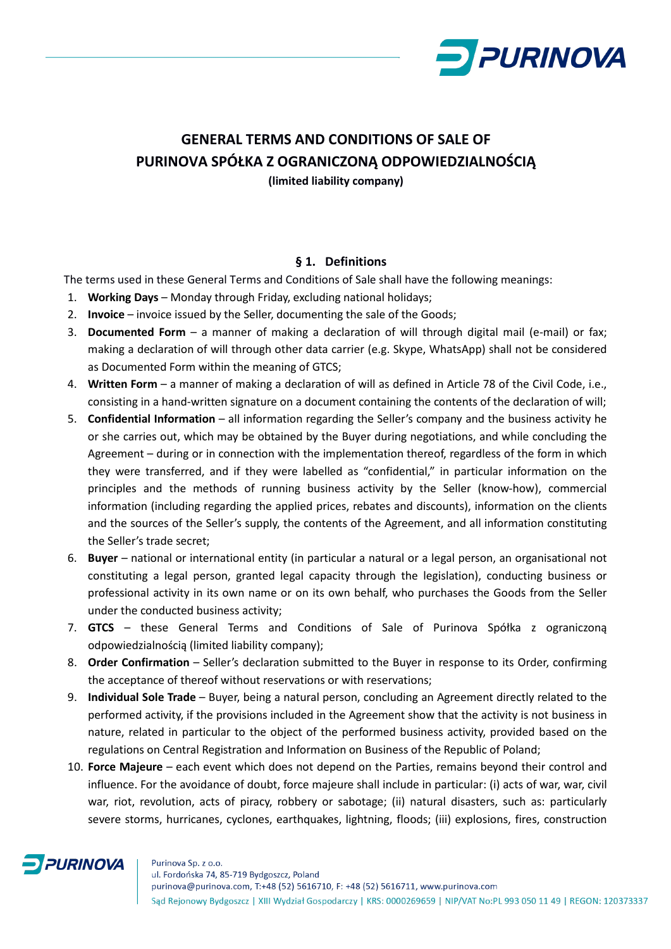

# **GENERAL TERMS AND CONDITIONS OF SALE OF PURINOVA SPÓŁKA Z OGRANICZONĄ ODPOWIEDZIALNOŚCIĄ**

**(limited liability company)**

#### **§ 1. Definitions**

The terms used in these General Terms and Conditions of Sale shall have the following meanings:

- 1. **Working Days**  Monday through Friday, excluding national holidays;
- 2. **Invoice**  invoice issued by the Seller, documenting the sale of the Goods;
- 3. **Documented Form** a manner of making a declaration of will through digital mail (e-mail) or fax; making a declaration of will through other data carrier (e.g. Skype, WhatsApp) shall not be considered as Documented Form within the meaning of GTCS;
- 4. **Written Form**  a manner of making a declaration of will as defined in Article 78 of the Civil Code, i.e., consisting in a hand-written signature on a document containing the contents of the declaration of will;
- 5. **Confidential Information** all information regarding the Seller's company and the business activity he or she carries out, which may be obtained by the Buyer during negotiations, and while concluding the Agreement – during or in connection with the implementation thereof, regardless of the form in which they were transferred, and if they were labelled as "confidential," in particular information on the principles and the methods of running business activity by the Seller (know-how), commercial information (including regarding the applied prices, rebates and discounts), information on the clients and the sources of the Seller's supply, the contents of the Agreement, and all information constituting the Seller's trade secret;
- 6. **Buyer** national or international entity (in particular a natural or a legal person, an organisational not constituting a legal person, granted legal capacity through the legislation), conducting business or professional activity in its own name or on its own behalf, who purchases the Goods from the Seller under the conducted business activity;
- 7. **GTCS** these General Terms and Conditions of Sale of Purinova Spółka z ograniczoną odpowiedzialnością (limited liability company);
- 8. **Order Confirmation**  Seller's declaration submitted to the Buyer in response to its Order, confirming the acceptance of thereof without reservations or with reservations;
- 9. **Individual Sole Trade** Buyer, being a natural person, concluding an Agreement directly related to the performed activity, if the provisions included in the Agreement show that the activity is not business in nature, related in particular to the object of the performed business activity, provided based on the regulations on Central Registration and Information on Business of the Republic of Poland;
- 10. **Force Majeure**  each event which does not depend on the Parties, remains beyond their control and influence. For the avoidance of doubt, force majeure shall include in particular: (i) acts of war, war, civil war, riot, revolution, acts of piracy, robbery or sabotage; (ii) natural disasters, such as: particularly severe storms, hurricanes, cyclones, earthquakes, lightning, floods; (iii) explosions, fires, construction

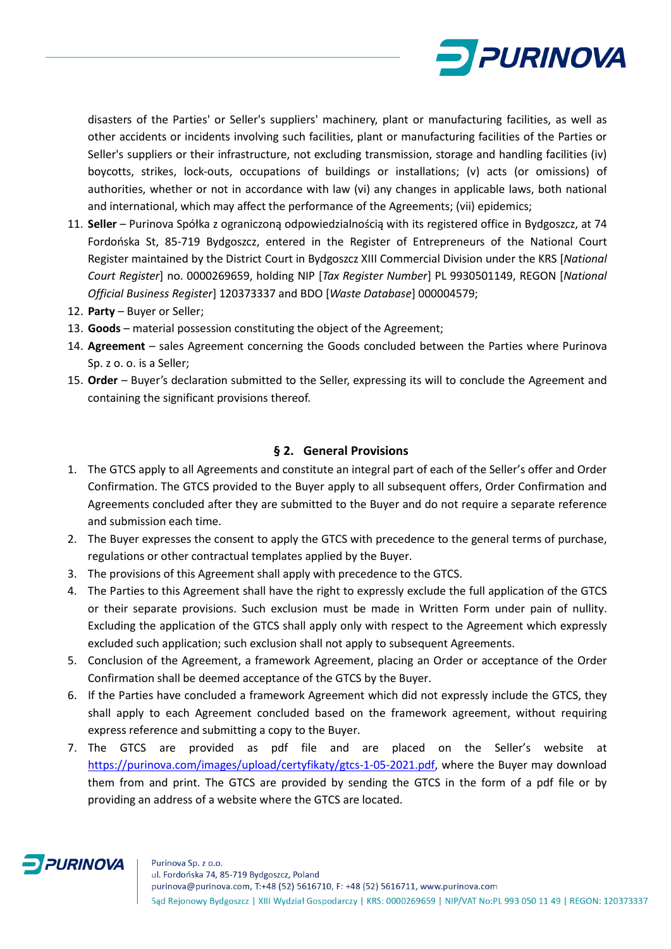

disasters of the Parties' or Seller's suppliers' machinery, plant or manufacturing facilities, as well as other accidents or incidents involving such facilities, plant or manufacturing facilities of the Parties or Seller's suppliers or their infrastructure, not excluding transmission, storage and handling facilities (iv) boycotts, strikes, lock-outs, occupations of buildings or installations; (v) acts (or omissions) of authorities, whether or not in accordance with law (vi) any changes in applicable laws, both national and international, which may affect the performance of the Agreements; (vii) epidemics;

- 11. **Seller** Purinova Spółka z ograniczoną odpowiedzialnością with its registered office in Bydgoszcz, at 74 Fordońska St, 85-719 Bydgoszcz, entered in the Register of Entrepreneurs of the National Court Register maintained by the District Court in Bydgoszcz XIII Commercial Division under the KRS [*National Court Register*] no. 0000269659, holding NIP [*Tax Register Number*] PL 9930501149, REGON [*National Official Business Register*] 120373337 and BDO [*Waste Database*] 000004579;
- 12. **Party** Buyer or Seller;
- 13. **Goods** material possession constituting the object of the Agreement;
- 14. **Agreement** sales Agreement concerning the Goods concluded between the Parties where Purinova Sp. z o. o. is a Seller;
- 15. **Order**  Buyer's declaration submitted to the Seller, expressing its will to conclude the Agreement and containing the significant provisions thereof.

#### **§ 2. General Provisions**

- 1. The GTCS apply to all Agreements and constitute an integral part of each of the Seller's offer and Order Confirmation. The GTCS provided to the Buyer apply to all subsequent offers, Order Confirmation and Agreements concluded after they are submitted to the Buyer and do not require a separate reference and submission each time.
- 2. The Buyer expresses the consent to apply the GTCS with precedence to the general terms of purchase, regulations or other contractual templates applied by the Buyer.
- 3. The provisions of this Agreement shall apply with precedence to the GTCS.
- 4. The Parties to this Agreement shall have the right to expressly exclude the full application of the GTCS or their separate provisions. Such exclusion must be made in Written Form under pain of nullity. Excluding the application of the GTCS shall apply only with respect to the Agreement which expressly excluded such application; such exclusion shall not apply to subsequent Agreements.
- 5. Conclusion of the Agreement, a framework Agreement, placing an Order or acceptance of the Order Confirmation shall be deemed acceptance of the GTCS by the Buyer.
- 6. If the Parties have concluded a framework Agreement which did not expressly include the GTCS, they shall apply to each Agreement concluded based on the framework agreement, without requiring express reference and submitting a copy to the Buyer.
- 7. The GTCS are provided as pdf file and are placed on the Seller's website at [https://purinova.com/images/upload/certyfikaty/gtcs-1-05-2021.pdf,](https://purinova.com/images/upload/certyfikaty/gtcs-1-05-2021.pdf) where the Buyer may download them from and print. The GTCS are provided by sending the GTCS in the form of a pdf file or by providing an address of a website where the GTCS are located.

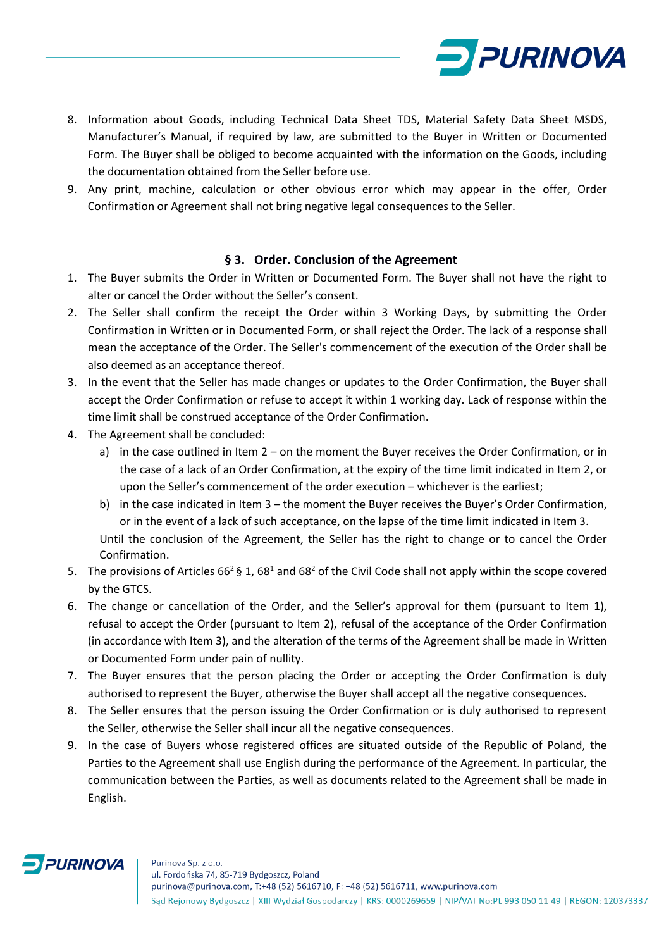

- 8. Information about Goods, including Technical Data Sheet TDS, Material Safety Data Sheet MSDS, Manufacturer's Manual, if required by law, are submitted to the Buyer in Written or Documented Form. The Buyer shall be obliged to become acquainted with the information on the Goods, including the documentation obtained from the Seller before use.
- 9. Any print, machine, calculation or other obvious error which may appear in the offer, Order Confirmation or Agreement shall not bring negative legal consequences to the Seller.

#### **§ 3. Order. Conclusion of the Agreement**

- 1. The Buyer submits the Order in Written or Documented Form. The Buyer shall not have the right to alter or cancel the Order without the Seller's consent.
- 2. The Seller shall confirm the receipt the Order within 3 Working Days, by submitting the Order Confirmation in Written or in Documented Form, or shall reject the Order. The lack of a response shall mean the acceptance of the Order. The Seller's commencement of the execution of the Order shall be also deemed as an acceptance thereof.
- 3. In the event that the Seller has made changes or updates to the Order Confirmation, the Buyer shall accept the Order Confirmation or refuse to accept it within 1 working day. Lack of response within the time limit shall be construed acceptance of the Order Confirmation.
- 4. The Agreement shall be concluded:
	- a) in the case outlined in Item 2 on the moment the Buyer receives the Order Confirmation, or in the case of a lack of an Order Confirmation, at the expiry of the time limit indicated in Item 2, or upon the Seller's commencement of the order execution – whichever is the earliest;
	- b) in the case indicated in Item 3 the moment the Buyer receives the Buyer's Order Confirmation, or in the event of a lack of such acceptance, on the lapse of the time limit indicated in Item 3. Until the conclusion of the Agreement, the Seller has the right to change or to cancel the Order Confirmation.
- 5. The provisions of Articles  $66<sup>2</sup>$  § 1,  $68<sup>1</sup>$  and  $68<sup>2</sup>$  of the Civil Code shall not apply within the scope covered by the GTCS.
- 6. The change or cancellation of the Order, and the Seller's approval for them (pursuant to Item 1), refusal to accept the Order (pursuant to Item 2), refusal of the acceptance of the Order Confirmation (in accordance with Item 3), and the alteration of the terms of the Agreement shall be made in Written or Documented Form under pain of nullity.
- 7. The Buyer ensures that the person placing the Order or accepting the Order Confirmation is duly authorised to represent the Buyer, otherwise the Buyer shall accept all the negative consequences.
- 8. The Seller ensures that the person issuing the Order Confirmation or is duly authorised to represent the Seller, otherwise the Seller shall incur all the negative consequences.
- 9. In the case of Buyers whose registered offices are situated outside of the Republic of Poland, the Parties to the Agreement shall use English during the performance of the Agreement. In particular, the communication between the Parties, as well as documents related to the Agreement shall be made in English.

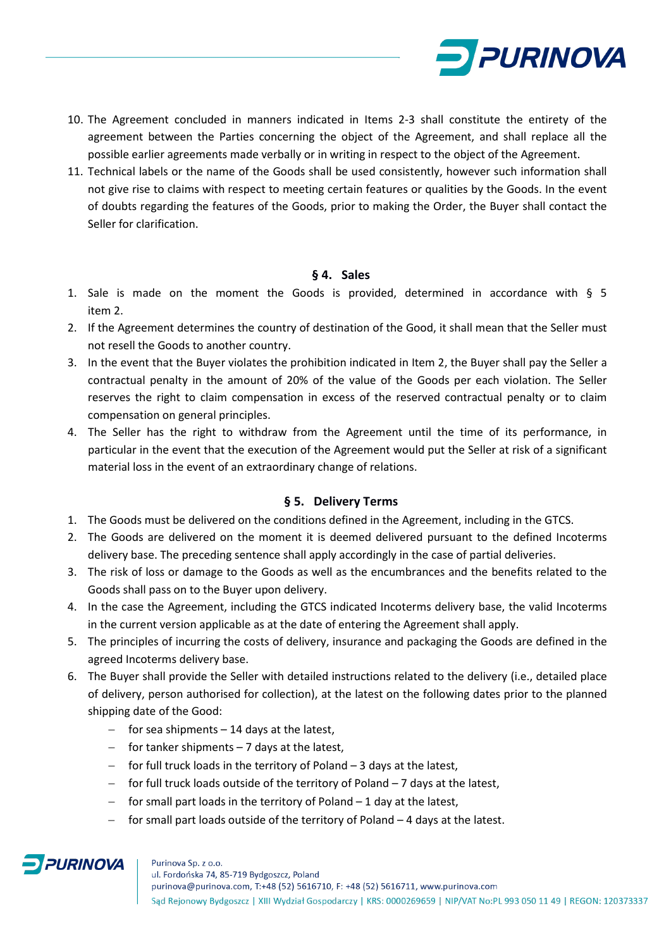

- 10. The Agreement concluded in manners indicated in Items 2-3 shall constitute the entirety of the agreement between the Parties concerning the object of the Agreement, and shall replace all the possible earlier agreements made verbally or in writing in respect to the object of the Agreement.
- 11. Technical labels or the name of the Goods shall be used consistently, however such information shall not give rise to claims with respect to meeting certain features or qualities by the Goods. In the event of doubts regarding the features of the Goods, prior to making the Order, the Buyer shall contact the Seller for clarification.

#### **§ 4. Sales**

- 1. Sale is made on the moment the Goods is provided, determined in accordance with  $\S$  5 item 2.
- 2. If the Agreement determines the country of destination of the Good, it shall mean that the Seller must not resell the Goods to another country.
- 3. In the event that the Buyer violates the prohibition indicated in Item 2, the Buyer shall pay the Seller a contractual penalty in the amount of 20% of the value of the Goods per each violation. The Seller reserves the right to claim compensation in excess of the reserved contractual penalty or to claim compensation on general principles.
- 4. The Seller has the right to withdraw from the Agreement until the time of its performance, in particular in the event that the execution of the Agreement would put the Seller at risk of a significant material loss in the event of an extraordinary change of relations.

#### **§ 5. Delivery Terms**

- 1. The Goods must be delivered on the conditions defined in the Agreement, including in the GTCS.
- 2. The Goods are delivered on the moment it is deemed delivered pursuant to the defined Incoterms delivery base. The preceding sentence shall apply accordingly in the case of partial deliveries.
- 3. The risk of loss or damage to the Goods as well as the encumbrances and the benefits related to the Goods shall pass on to the Buyer upon delivery.
- 4. In the case the Agreement, including the GTCS indicated Incoterms delivery base, the valid Incoterms in the current version applicable as at the date of entering the Agreement shall apply.
- 5. The principles of incurring the costs of delivery, insurance and packaging the Goods are defined in the agreed Incoterms delivery base.
- 6. The Buyer shall provide the Seller with detailed instructions related to the delivery (i.e., detailed place of delivery, person authorised for collection), at the latest on the following dates prior to the planned shipping date of the Good:
	- − for sea shipments 14 days at the latest,
	- − for tanker shipments 7 days at the latest,
	- − for full truck loads in the territory of Poland 3 days at the latest,
	- − for full truck loads outside of the territory of Poland 7 days at the latest,
	- − for small part loads in the territory of Poland 1 day at the latest,
	- − for small part loads outside of the territory of Poland 4 days at the latest.

## **PURINOVA**

#### Purinova Sp. z o.o.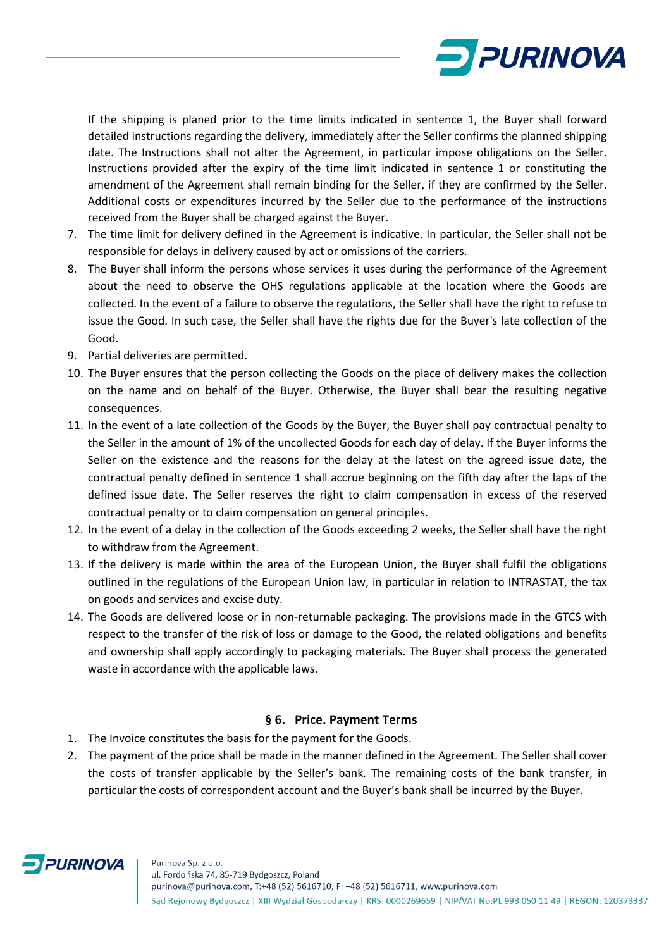

If the shipping is planed prior to the time limits indicated in sentence 1, the Buyer shall forward detailed instructions regarding the delivery, immediately after the Seller confirms the planned shipping date. The Instructions shall not alter the Agreement, in particular impose obligations on the Seller. Instructions provided after the expiry of the time limit indicated in sentence 1 or constituting the amendment of the Agreement shall remain binding for the Seller, if they are confirmed by the Seller. Additional costs or expenditures incurred by the Seller due to the performance of the instructions received from the Buyer shall be charged against the Buyer.

- 7. The time limit for delivery defined in the Agreement is indicative. In particular, the Seller shall not be responsible for delays in delivery caused by act or omissions of the carriers.
- 8. The Buyer shall inform the persons whose services it uses during the performance of the Agreement about the need to observe the OHS regulations applicable at the location where the Goods are collected. In the event of a failure to observe the regulations, the Seller shall have the right to refuse to issue the Good. In such case, the Seller shall have the rights due for the Buyer's late collection of the Good.
- 9. Partial deliveries are permitted.
- 10. The Buyer ensures that the person collecting the Goods on the place of delivery makes the collection on the name and on behalf of the Buyer. Otherwise, the Buyer shall bear the resulting negative consequences.
- 11. In the event of a late collection of the Goods by the Buyer, the Buyer shall pay contractual penalty to the Seller in the amount of 1% of the uncollected Goods for each day of delay. If the Buyer informs the Seller on the existence and the reasons for the delay at the latest on the agreed issue date, the contractual penalty defined in sentence 1 shall accrue beginning on the fifth day after the laps of the defined issue date. The Seller reserves the right to claim compensation in excess of the reserved contractual penalty or to claim compensation on general principles.
- 12. In the event of a delay in the collection of the Goods exceeding 2 weeks, the Seller shall have the right to withdraw from the Agreement.
- 13. If the delivery is made within the area of the European Union, the Buyer shall fulfil the obligations outlined in the regulations of the European Union law, in particular in relation to INTRASTAT, the tax on goods and services and excise duty.
- 14. The Goods are delivered loose or in non-returnable packaging. The provisions made in the GTCS with respect to the transfer of the risk of loss or damage to the Good, the related obligations and benefits and ownership shall apply accordingly to packaging materials. The Buyer shall process the generated waste in accordance with the applicable laws.

#### **§ 6. Price. Payment Terms**

- 1. The Invoice constitutes the basis for the payment for the Goods.
- 2. The payment of the price shall be made in the manner defined in the Agreement. The Seller shall cover the costs of transfer applicable by the Seller's bank. The remaining costs of the bank transfer, in particular the costs of correspondent account and the Buyer's bank shall be incurred by the Buyer.

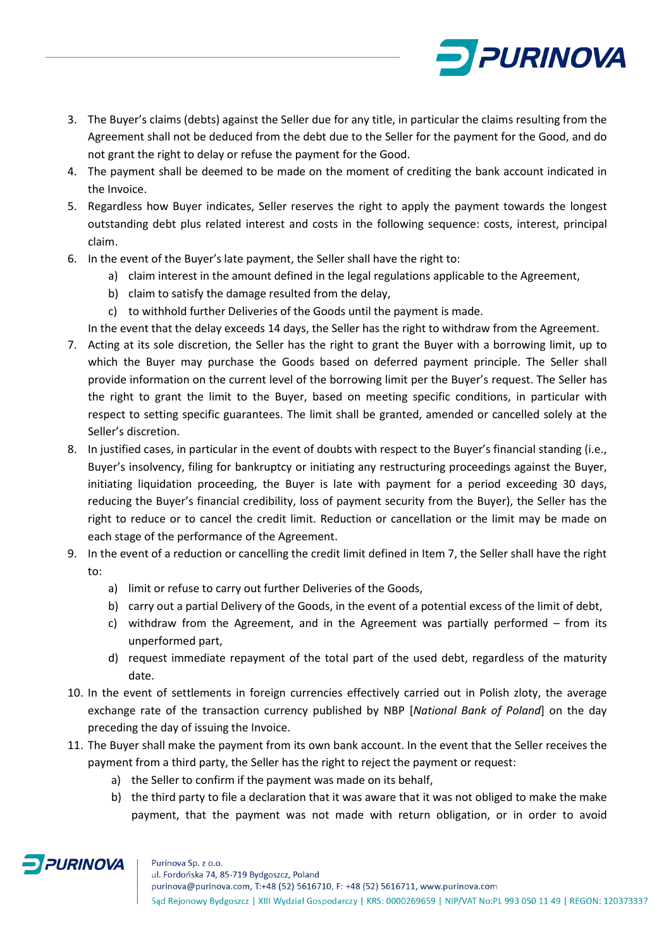

- 3. The Buyer's claims (debts) against the Seller due for any title, in particular the claims resulting from the Agreement shall not be deduced from the debt due to the Seller for the payment for the Good, and do not grant the right to delay or refuse the payment for the Good.
- 4. The payment shall be deemed to be made on the moment of crediting the bank account indicated in the Invoice.
- 5. Regardless how Buyer indicates, Seller reserves the right to apply the payment towards the longest outstanding debt plus related interest and costs in the following sequence: costs, interest, principal claim.
- 6. In the event of the Buyer's late payment, the Seller shall have the right to:
	- a) claim interest in the amount defined in the legal regulations applicable to the Agreement,
	- b) claim to satisfy the damage resulted from the delay,
	- c) to withhold further Deliveries of the Goods until the payment is made.

In the event that the delay exceeds 14 days, the Seller has the right to withdraw from the Agreement.

- 7. Acting at its sole discretion, the Seller has the right to grant the Buyer with a borrowing limit, up to which the Buyer may purchase the Goods based on deferred payment principle. The Seller shall provide information on the current level of the borrowing limit per the Buyer's request. The Seller has the right to grant the limit to the Buyer, based on meeting specific conditions, in particular with respect to setting specific guarantees. The limit shall be granted, amended or cancelled solely at the Seller's discretion.
- 8. In justified cases, in particular in the event of doubts with respect to the Buyer's financial standing (i.e., Buyer's insolvency, filing for bankruptcy or initiating any restructuring proceedings against the Buyer, initiating liquidation proceeding, the Buyer is late with payment for a period exceeding 30 days, reducing the Buyer's financial credibility, loss of payment security from the Buyer), the Seller has the right to reduce or to cancel the credit limit. Reduction or cancellation or the limit may be made on each stage of the performance of the Agreement.
- 9. In the event of a reduction or cancelling the credit limit defined in Item 7, the Seller shall have the right to:
	- a) limit or refuse to carry out further Deliveries of the Goods,
	- b) carry out a partial Delivery of the Goods, in the event of a potential excess of the limit of debt,
	- c) withdraw from the Agreement, and in the Agreement was partially performed from its unperformed part,
	- d) request immediate repayment of the total part of the used debt, regardless of the maturity date.
- 10. In the event of settlements in foreign currencies effectively carried out in Polish zloty, the average exchange rate of the transaction currency published by NBP [*National Bank of Poland*] on the day preceding the day of issuing the Invoice.
- 11. The Buyer shall make the payment from its own bank account. In the event that the Seller receives the payment from a third party, the Seller has the right to reject the payment or request:
	- a) the Seller to confirm if the payment was made on its behalf,
	- b) the third party to file a declaration that it was aware that it was not obliged to make the make payment, that the payment was not made with return obligation, or in order to avoid

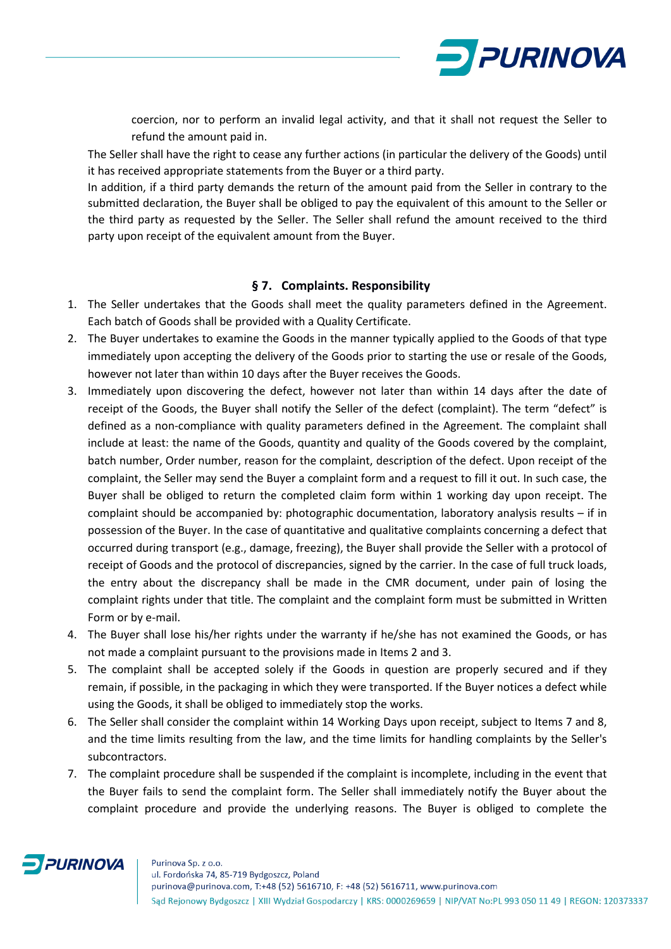

coercion, nor to perform an invalid legal activity, and that it shall not request the Seller to refund the amount paid in.

The Seller shall have the right to cease any further actions (in particular the delivery of the Goods) until it has received appropriate statements from the Buyer or a third party.

In addition, if a third party demands the return of the amount paid from the Seller in contrary to the submitted declaration, the Buyer shall be obliged to pay the equivalent of this amount to the Seller or the third party as requested by the Seller. The Seller shall refund the amount received to the third party upon receipt of the equivalent amount from the Buyer.

#### **§ 7. Complaints. Responsibility**

- 1. The Seller undertakes that the Goods shall meet the quality parameters defined in the Agreement. Each batch of Goods shall be provided with a Quality Certificate.
- 2. The Buyer undertakes to examine the Goods in the manner typically applied to the Goods of that type immediately upon accepting the delivery of the Goods prior to starting the use or resale of the Goods, however not later than within 10 days after the Buyer receives the Goods.
- 3. Immediately upon discovering the defect, however not later than within 14 days after the date of receipt of the Goods, the Buyer shall notify the Seller of the defect (complaint). The term "defect" is defined as a non-compliance with quality parameters defined in the Agreement. The complaint shall include at least: the name of the Goods, quantity and quality of the Goods covered by the complaint, batch number, Order number, reason for the complaint, description of the defect. Upon receipt of the complaint, the Seller may send the Buyer a complaint form and a request to fill it out. In such case, the Buyer shall be obliged to return the completed claim form within 1 working day upon receipt. The complaint should be accompanied by: photographic documentation, laboratory analysis results – if in possession of the Buyer. In the case of quantitative and qualitative complaints concerning a defect that occurred during transport (e.g., damage, freezing), the Buyer shall provide the Seller with a protocol of receipt of Goods and the protocol of discrepancies, signed by the carrier. In the case of full truck loads, the entry about the discrepancy shall be made in the CMR document, under pain of losing the complaint rights under that title. The complaint and the complaint form must be submitted in Written Form or by e-mail.
- 4. The Buyer shall lose his/her rights under the warranty if he/she has not examined the Goods, or has not made a complaint pursuant to the provisions made in Items 2 and 3.
- 5. The complaint shall be accepted solely if the Goods in question are properly secured and if they remain, if possible, in the packaging in which they were transported. If the Buyer notices a defect while using the Goods, it shall be obliged to immediately stop the works.
- 6. The Seller shall consider the complaint within 14 Working Days upon receipt, subject to Items 7 and 8, and the time limits resulting from the law, and the time limits for handling complaints by the Seller's subcontractors.
- 7. The complaint procedure shall be suspended if the complaint is incomplete, including in the event that the Buyer fails to send the complaint form. The Seller shall immediately notify the Buyer about the complaint procedure and provide the underlying reasons. The Buyer is obliged to complete the

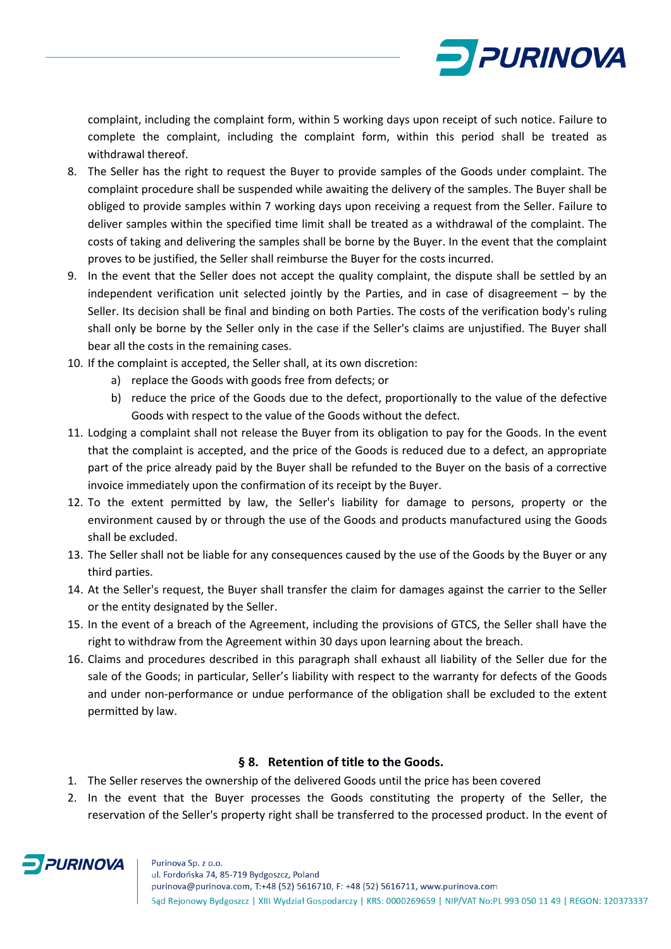

complaint, including the complaint form, within 5 working days upon receipt of such notice. Failure to complete the complaint, including the complaint form, within this period shall be treated as withdrawal thereof.

- 8. The Seller has the right to request the Buyer to provide samples of the Goods under complaint. The complaint procedure shall be suspended while awaiting the delivery of the samples. The Buyer shall be obliged to provide samples within 7 working days upon receiving a request from the Seller. Failure to deliver samples within the specified time limit shall be treated as a withdrawal of the complaint. The costs of taking and delivering the samples shall be borne by the Buyer. In the event that the complaint proves to be justified, the Seller shall reimburse the Buyer for the costs incurred.
- 9. In the event that the Seller does not accept the quality complaint, the dispute shall be settled by an independent verification unit selected jointly by the Parties, and in case of disagreement – by the Seller. Its decision shall be final and binding on both Parties. The costs of the verification body's ruling shall only be borne by the Seller only in the case if the Seller's claims are unjustified. The Buyer shall bear all the costs in the remaining cases.
- 10. If the complaint is accepted, the Seller shall, at its own discretion:
	- a) replace the Goods with goods free from defects; or
	- b) reduce the price of the Goods due to the defect, proportionally to the value of the defective Goods with respect to the value of the Goods without the defect.
- 11. Lodging a complaint shall not release the Buyer from its obligation to pay for the Goods. In the event that the complaint is accepted, and the price of the Goods is reduced due to a defect, an appropriate part of the price already paid by the Buyer shall be refunded to the Buyer on the basis of a corrective invoice immediately upon the confirmation of its receipt by the Buyer.
- 12. To the extent permitted by law, the Seller's liability for damage to persons, property or the environment caused by or through the use of the Goods and products manufactured using the Goods shall be excluded.
- 13. The Seller shall not be liable for any consequences caused by the use of the Goods by the Buyer or any third parties.
- 14. At the Seller's request, the Buyer shall transfer the claim for damages against the carrier to the Seller or the entity designated by the Seller.
- 15. In the event of a breach of the Agreement, including the provisions of GTCS, the Seller shall have the right to withdraw from the Agreement within 30 days upon learning about the breach.
- 16. Claims and procedures described in this paragraph shall exhaust all liability of the Seller due for the sale of the Goods; in particular, Seller's liability with respect to the warranty for defects of the Goods and under non-performance or undue performance of the obligation shall be excluded to the extent permitted by law.

#### **§ 8. Retention of title to the Goods.**

- 1. The Seller reserves the ownership of the delivered Goods until the price has been covered
- 2. In the event that the Buyer processes the Goods constituting the property of the Seller, the reservation of the Seller's property right shall be transferred to the processed product. In the event of

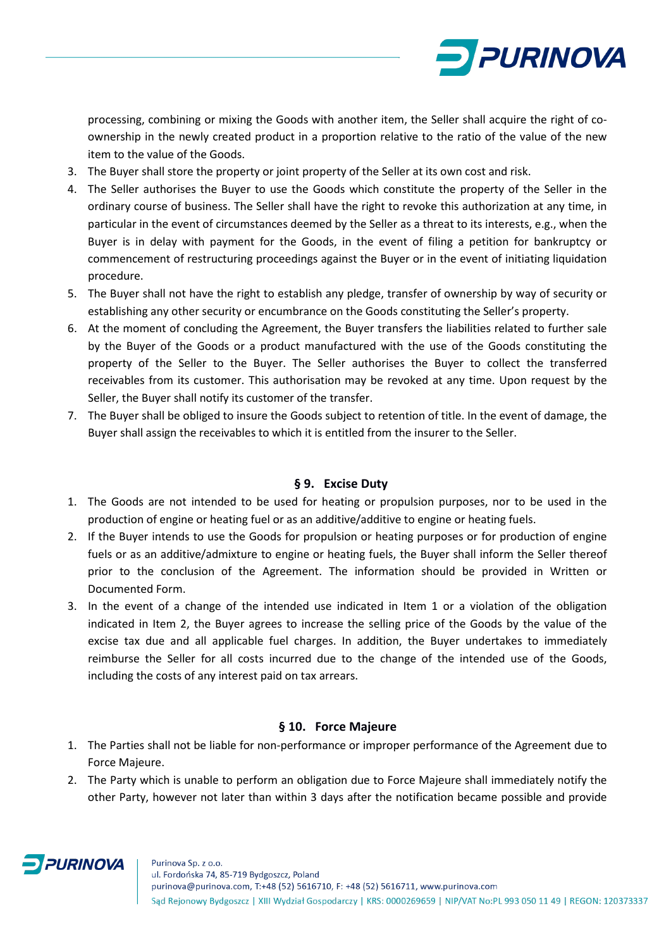

processing, combining or mixing the Goods with another item, the Seller shall acquire the right of coownership in the newly created product in a proportion relative to the ratio of the value of the new item to the value of the Goods.

- 3. The Buyer shall store the property or joint property of the Seller at its own cost and risk.
- 4. The Seller authorises the Buyer to use the Goods which constitute the property of the Seller in the ordinary course of business. The Seller shall have the right to revoke this authorization at any time, in particular in the event of circumstances deemed by the Seller as a threat to its interests, e.g., when the Buyer is in delay with payment for the Goods, in the event of filing a petition for bankruptcy or commencement of restructuring proceedings against the Buyer or in the event of initiating liquidation procedure.
- 5. The Buyer shall not have the right to establish any pledge, transfer of ownership by way of security or establishing any other security or encumbrance on the Goods constituting the Seller's property.
- 6. At the moment of concluding the Agreement, the Buyer transfers the liabilities related to further sale by the Buyer of the Goods or a product manufactured with the use of the Goods constituting the property of the Seller to the Buyer. The Seller authorises the Buyer to collect the transferred receivables from its customer. This authorisation may be revoked at any time. Upon request by the Seller, the Buyer shall notify its customer of the transfer.
- 7. The Buyer shall be obliged to insure the Goods subject to retention of title. In the event of damage, the Buyer shall assign the receivables to which it is entitled from the insurer to the Seller.

#### **§ 9. Excise Duty**

- 1. The Goods are not intended to be used for heating or propulsion purposes, nor to be used in the production of engine or heating fuel or as an additive/additive to engine or heating fuels.
- 2. If the Buyer intends to use the Goods for propulsion or heating purposes or for production of engine fuels or as an additive/admixture to engine or heating fuels, the Buyer shall inform the Seller thereof prior to the conclusion of the Agreement. The information should be provided in Written or Documented Form.
- 3. In the event of a change of the intended use indicated in Item 1 or a violation of the obligation indicated in Item 2, the Buyer agrees to increase the selling price of the Goods by the value of the excise tax due and all applicable fuel charges. In addition, the Buyer undertakes to immediately reimburse the Seller for all costs incurred due to the change of the intended use of the Goods, including the costs of any interest paid on tax arrears.

#### **§ 10. Force Majeure**

- 1. The Parties shall not be liable for non-performance or improper performance of the Agreement due to Force Majeure.
- 2. The Party which is unable to perform an obligation due to Force Majeure shall immediately notify the other Party, however not later than within 3 days after the notification became possible and provide

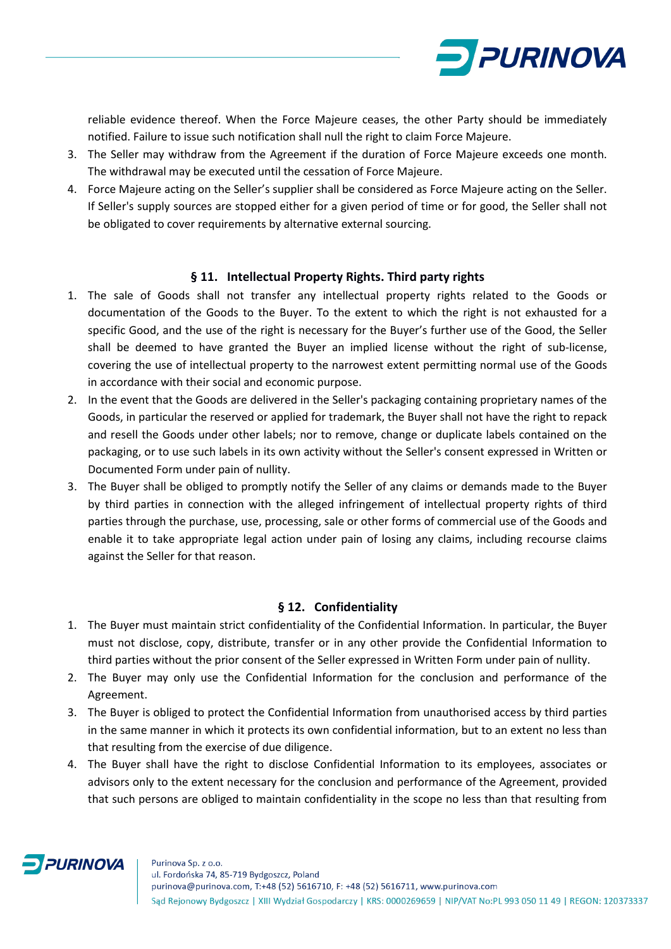

reliable evidence thereof. When the Force Majeure ceases, the other Party should be immediately notified. Failure to issue such notification shall null the right to claim Force Majeure.

- 3. The Seller may withdraw from the Agreement if the duration of Force Majeure exceeds one month. The withdrawal may be executed until the cessation of Force Majeure.
- 4. Force Majeure acting on the Seller's supplier shall be considered as Force Majeure acting on the Seller. If Seller's supply sources are stopped either for a given period of time or for good, the Seller shall not be obligated to cover requirements by alternative external sourcing.

#### **§ 11. Intellectual Property Rights. Third party rights**

- 1. The sale of Goods shall not transfer any intellectual property rights related to the Goods or documentation of the Goods to the Buyer. To the extent to which the right is not exhausted for a specific Good, and the use of the right is necessary for the Buyer's further use of the Good, the Seller shall be deemed to have granted the Buyer an implied license without the right of sub-license, covering the use of intellectual property to the narrowest extent permitting normal use of the Goods in accordance with their social and economic purpose.
- 2. In the event that the Goods are delivered in the Seller's packaging containing proprietary names of the Goods, in particular the reserved or applied for trademark, the Buyer shall not have the right to repack and resell the Goods under other labels; nor to remove, change or duplicate labels contained on the packaging, or to use such labels in its own activity without the Seller's consent expressed in Written or Documented Form under pain of nullity.
- 3. The Buyer shall be obliged to promptly notify the Seller of any claims or demands made to the Buyer by third parties in connection with the alleged infringement of intellectual property rights of third parties through the purchase, use, processing, sale or other forms of commercial use of the Goods and enable it to take appropriate legal action under pain of losing any claims, including recourse claims against the Seller for that reason.

#### **§ 12. Confidentiality**

- 1. The Buyer must maintain strict confidentiality of the Confidential Information. In particular, the Buyer must not disclose, copy, distribute, transfer or in any other provide the Confidential Information to third parties without the prior consent of the Seller expressed in Written Form under pain of nullity.
- 2. The Buyer may only use the Confidential Information for the conclusion and performance of the Agreement.
- 3. The Buyer is obliged to protect the Confidential Information from unauthorised access by third parties in the same manner in which it protects its own confidential information, but to an extent no less than that resulting from the exercise of due diligence.
- 4. The Buyer shall have the right to disclose Confidential Information to its employees, associates or advisors only to the extent necessary for the conclusion and performance of the Agreement, provided that such persons are obliged to maintain confidentiality in the scope no less than that resulting from

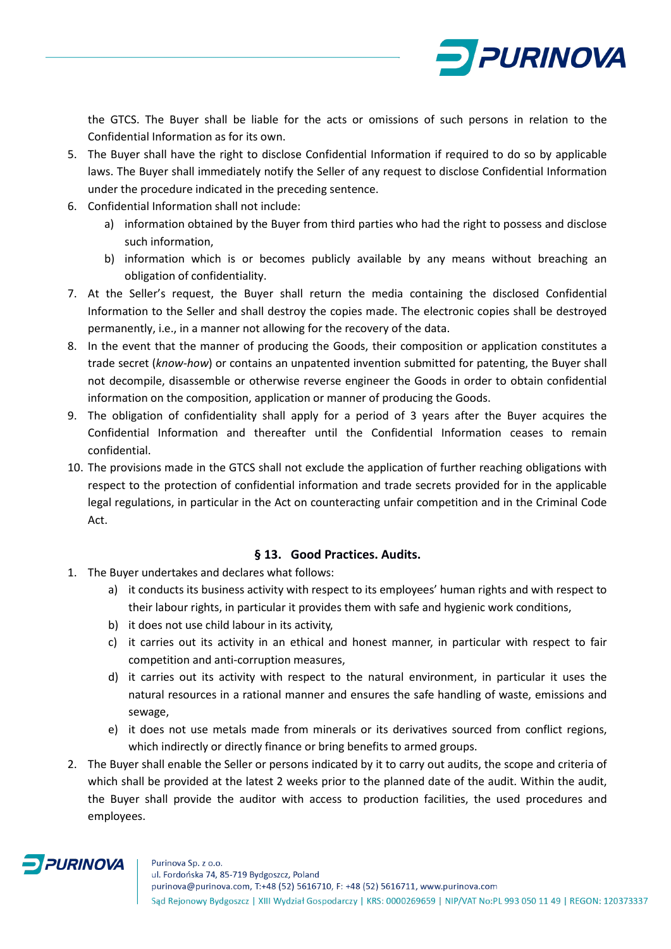

the GTCS. The Buyer shall be liable for the acts or omissions of such persons in relation to the Confidential Information as for its own.

- 5. The Buyer shall have the right to disclose Confidential Information if required to do so by applicable laws. The Buyer shall immediately notify the Seller of any request to disclose Confidential Information under the procedure indicated in the preceding sentence.
- 6. Confidential Information shall not include:
	- a) information obtained by the Buyer from third parties who had the right to possess and disclose such information,
	- b) information which is or becomes publicly available by any means without breaching an obligation of confidentiality.
- 7. At the Seller's request, the Buyer shall return the media containing the disclosed Confidential Information to the Seller and shall destroy the copies made. The electronic copies shall be destroyed permanently, i.e., in a manner not allowing for the recovery of the data.
- 8. In the event that the manner of producing the Goods, their composition or application constitutes a trade secret (*know-how*) or contains an unpatented invention submitted for patenting, the Buyer shall not decompile, disassemble or otherwise reverse engineer the Goods in order to obtain confidential information on the composition, application or manner of producing the Goods.
- 9. The obligation of confidentiality shall apply for a period of 3 years after the Buyer acquires the Confidential Information and thereafter until the Confidential Information ceases to remain confidential.
- 10. The provisions made in the GTCS shall not exclude the application of further reaching obligations with respect to the protection of confidential information and trade secrets provided for in the applicable legal regulations, in particular in the Act on counteracting unfair competition and in the Criminal Code Act.

#### **§ 13. Good Practices. Audits.**

- 1. The Buyer undertakes and declares what follows:
	- a) it conducts its business activity with respect to its employees' human rights and with respect to their labour rights, in particular it provides them with safe and hygienic work conditions,
	- b) it does not use child labour in its activity,
	- c) it carries out its activity in an ethical and honest manner, in particular with respect to fair competition and anti-corruption measures,
	- d) it carries out its activity with respect to the natural environment, in particular it uses the natural resources in a rational manner and ensures the safe handling of waste, emissions and sewage,
	- e) it does not use metals made from minerals or its derivatives sourced from conflict regions, which indirectly or directly finance or bring benefits to armed groups.
- 2. The Buyer shall enable the Seller or persons indicated by it to carry out audits, the scope and criteria of which shall be provided at the latest 2 weeks prior to the planned date of the audit. Within the audit, the Buyer shall provide the auditor with access to production facilities, the used procedures and employees.

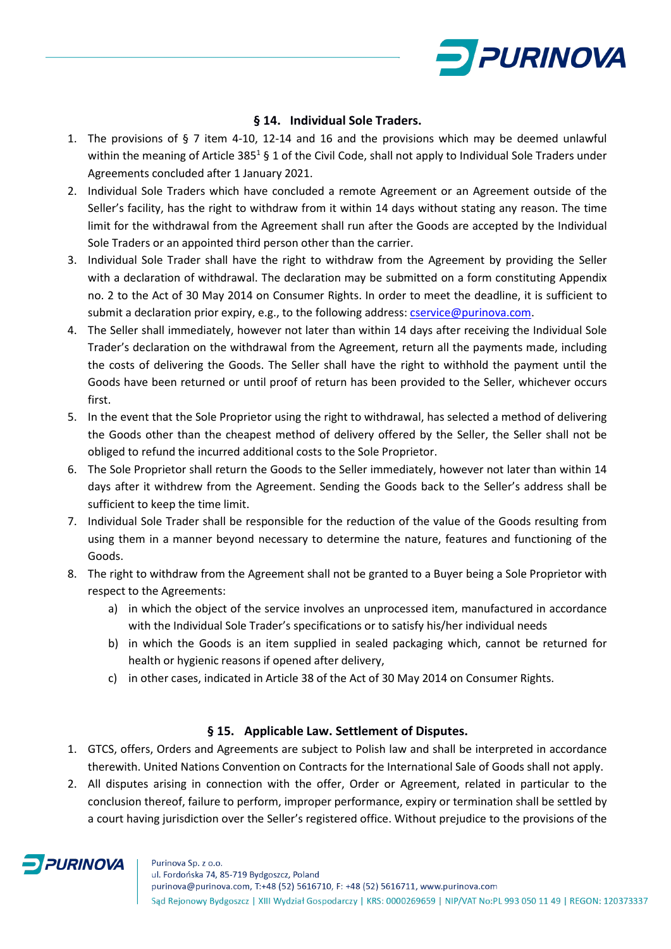

#### **§ 14. Individual Sole Traders.**

- 1. The provisions of § 7 item 4-10, 12-14 and 16 and the provisions which may be deemed unlawful within the meaning of Article 385<sup>1</sup> § 1 of the Civil Code, shall not apply to Individual Sole Traders under Agreements concluded after 1 January 2021.
- 2. Individual Sole Traders which have concluded a remote Agreement or an Agreement outside of the Seller's facility, has the right to withdraw from it within 14 days without stating any reason. The time limit for the withdrawal from the Agreement shall run after the Goods are accepted by the Individual Sole Traders or an appointed third person other than the carrier.
- 3. Individual Sole Trader shall have the right to withdraw from the Agreement by providing the Seller with a declaration of withdrawal. The declaration may be submitted on a form constituting Appendix no. 2 to the Act of 30 May 2014 on Consumer Rights. In order to meet the deadline, it is sufficient to submit a declaration prior expiry, e.g., to the following address: [cservice@purinova.com.](mailto:cservice@purinova.com)
- 4. The Seller shall immediately, however not later than within 14 days after receiving the Individual Sole Trader's declaration on the withdrawal from the Agreement, return all the payments made, including the costs of delivering the Goods. The Seller shall have the right to withhold the payment until the Goods have been returned or until proof of return has been provided to the Seller, whichever occurs first.
- 5. In the event that the Sole Proprietor using the right to withdrawal, has selected a method of delivering the Goods other than the cheapest method of delivery offered by the Seller, the Seller shall not be obliged to refund the incurred additional costs to the Sole Proprietor.
- 6. The Sole Proprietor shall return the Goods to the Seller immediately, however not later than within 14 days after it withdrew from the Agreement. Sending the Goods back to the Seller's address shall be sufficient to keep the time limit.
- 7. Individual Sole Trader shall be responsible for the reduction of the value of the Goods resulting from using them in a manner beyond necessary to determine the nature, features and functioning of the Goods.
- 8. The right to withdraw from the Agreement shall not be granted to a Buyer being a Sole Proprietor with respect to the Agreements:
	- a) in which the object of the service involves an unprocessed item, manufactured in accordance with the Individual Sole Trader's specifications or to satisfy his/her individual needs
	- b) in which the Goods is an item supplied in sealed packaging which, cannot be returned for health or hygienic reasons if opened after delivery,
	- c) in other cases, indicated in Article 38 of the Act of 30 May 2014 on Consumer Rights.

#### **§ 15. Applicable Law. Settlement of Disputes.**

- 1. GTCS, offers, Orders and Agreements are subject to Polish law and shall be interpreted in accordance therewith. United Nations Convention on Contracts for the International Sale of Goods shall not apply.
- 2. All disputes arising in connection with the offer, Order or Agreement, related in particular to the conclusion thereof, failure to perform, improper performance, expiry or termination shall be settled by a court having jurisdiction over the Seller's registered office. Without prejudice to the provisions of the



Sąd Rejonowy Bydgoszcz | XIII Wydział Gospodarczy | KRS: 0000269659 | NIP/VAT No:PL 993 050 11 49 | REGON: 120373337